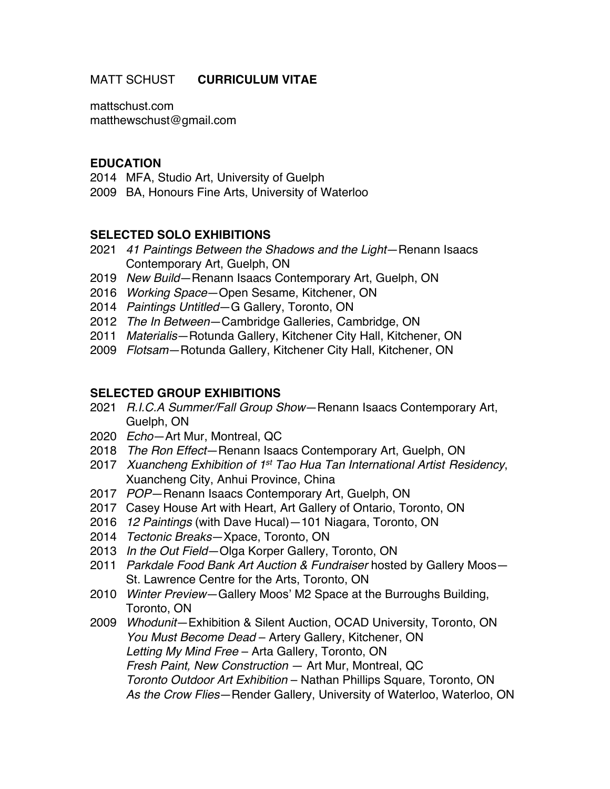### MATT SCHUST **CURRICULUM VITAE**

mattschust.com matthewschust@gmail.com

### **EDUCATION**

- 2014 MFA, Studio Art, University of Guelph
- 2009 BA, Honours Fine Arts, University of Waterloo

#### **SELECTED SOLO EXHIBITIONS**

- 2021 *41 Paintings Between the Shadows and the Light*—Renann Isaacs Contemporary Art, Guelph, ON
- 2019 *New Build*—Renann Isaacs Contemporary Art, Guelph, ON
- 2016 *Working Space*—Open Sesame, Kitchener, ON
- 2014 *Paintings Untitled*—G Gallery, Toronto, ON
- 2012 *The In Between*—Cambridge Galleries, Cambridge, ON
- 2011 *Materialis*—Rotunda Gallery, Kitchener City Hall, Kitchener, ON
- 2009 *Flotsam*—Rotunda Gallery, Kitchener City Hall, Kitchener, ON

### **SELECTED GROUP EXHIBITIONS**

- 2021 *R.I.C.A Summer/Fall Group Show*—Renann Isaacs Contemporary Art, Guelph, ON
- 2020 *Echo*—Art Mur, Montreal, QC
- 2018 *The Ron Effect*—Renann Isaacs Contemporary Art, Guelph, ON
- 2017 *Xuancheng Exhibition of 1st Tao Hua Tan International Artist Residency*, Xuancheng City, Anhui Province, China
- 2017 *POP*—Renann Isaacs Contemporary Art, Guelph, ON
- 2017 Casey House Art with Heart, Art Gallery of Ontario, Toronto, ON
- 2016 *12 Paintings* (with Dave Hucal)—101 Niagara, Toronto, ON
- 2014 *Tectonic Breaks*—Xpace, Toronto, ON
- 2013 *In the Out Field*—Olga Korper Gallery, Toronto, ON
- 2011 *Parkdale Food Bank Art Auction & Fundraiser* hosted by Gallery Moos— St. Lawrence Centre for the Arts, Toronto, ON
- 2010 *Winter Preview*—Gallery Moos' M2 Space at the Burroughs Building, Toronto, ON
- 2009 *Whodunit*—Exhibition & Silent Auction, OCAD University, Toronto, ON *You Must Become Dead* – Artery Gallery, Kitchener, ON *Letting My Mind Free* – Arta Gallery, Toronto, ON *Fresh Paint, New Construction* — Art Mur, Montreal, QC *Toronto Outdoor Art Exhibition* – Nathan Phillips Square, Toronto, ON *As the Crow Flies*—Render Gallery, University of Waterloo, Waterloo, ON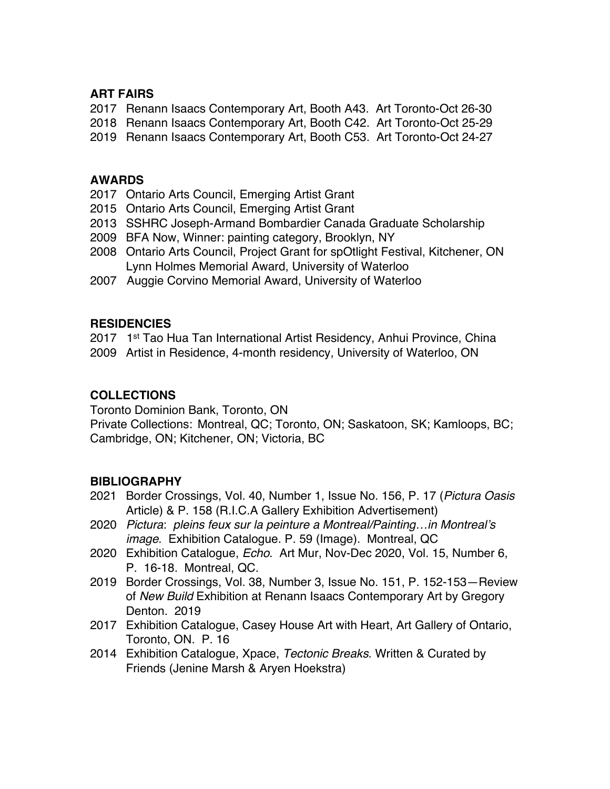# **ART FAIRS**

2017 Renann Isaacs Contemporary Art, Booth A43. Art Toronto-Oct 26-30

2018 Renann Isaacs Contemporary Art, Booth C42. Art Toronto-Oct 25-29

2019 Renann Isaacs Contemporary Art, Booth C53. Art Toronto-Oct 24-27

### **AWARDS**

- 2017 Ontario Arts Council, Emerging Artist Grant
- 2015 Ontario Arts Council, Emerging Artist Grant
- 2013 SSHRC Joseph-Armand Bombardier Canada Graduate Scholarship
- 2009 BFA Now, Winner: painting category, Brooklyn, NY
- 2008 Ontario Arts Council, Project Grant for spOtlight Festival, Kitchener, ON Lynn Holmes Memorial Award, University of Waterloo
- 2007 Auggie Corvino Memorial Award, University of Waterloo

### **RESIDENCIES**

2017 1st Tao Hua Tan International Artist Residency, Anhui Province, China 2009 Artist in Residence, 4-month residency, University of Waterloo, ON

# **COLLECTIONS**

Toronto Dominion Bank, Toronto, ON

Private Collections: Montreal, QC; Toronto, ON; Saskatoon, SK; Kamloops, BC; Cambridge, ON; Kitchener, ON; Victoria, BC

# **BIBLIOGRAPHY**

- 2021 Border Crossings, Vol. 40, Number 1, Issue No. 156, P. 17 (*Pictura Oasis* Article) & P. 158 (R.I.C.A Gallery Exhibition Advertisement)
- 2020 *Pictura*: *pleins feux sur la peinture a Montreal/Painting…in Montreal's image*. Exhibition Catalogue. P. 59 (Image). Montreal, QC
- 2020 Exhibition Catalogue, *Echo*. Art Mur, Nov-Dec 2020, Vol. 15, Number 6, P. 16-18. Montreal, QC.
- 2019 Border Crossings, Vol. 38, Number 3, Issue No. 151, P. 152-153—Review of *New Build* Exhibition at Renann Isaacs Contemporary Art by Gregory Denton. 2019
- 2017 Exhibition Catalogue, Casey House Art with Heart, Art Gallery of Ontario, Toronto, ON. P. 16
- 2014 Exhibition Catalogue, Xpace, *Tectonic Breaks*. Written & Curated by Friends (Jenine Marsh & Aryen Hoekstra)